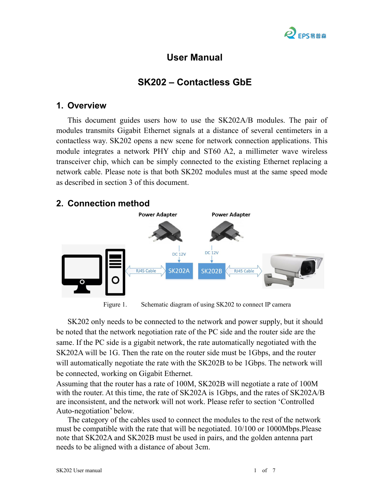

# **User Manual**

# **SK202 – Contactless GbE**

#### **1. Overview**

This document guides users how to use the SK202A/B modules. The pair of modules transmits Gigabit Ethernet signals at a distance of several centimeters in a contactless way. SK202 opens a new scene for network connection applications. This module integrates a network PHY chip and ST60 A2, a millimeter wave wireless transceiver chip, which can be simply connected to the existing Ethernet replacing a network cable. Please note is that both SK202 modules must at the same speed mode as described in section 3 of this document.



Figure 1. Schematic diagram of using SK202 to connect IP camera

SK202 only needs to be connected to the network and power supply, but it should be noted that the network negotiation rate of the PC side and the router side are the same. If the PC side is a gigabit network, the rate automatically negotiated with the SK202A will be 1G. Then the rate on the router side must be 1Gbps, and the router will automatically negotiate the rate with the SK202B to be 1Gbps. The network will be connected, working on Gigabit Ethernet.

Assuming that the router has a rate of 100M, SK202B will negotiate a rate of 100M with the router. At this time, the rate of  $SK202A$  is 1Gbps, and the rates of  $SK202A/B$ are inconsistent, and the network will not work. Please referto section 'Controlled Auto-negotiation' below.

The category of the cables used to connect the modules to the rest of the network must be compatible with the rate that will be negotiated. 10/100 or 1000Mbps.Please note that SK202A and SK202B must be used in pairs, and the golden antenna part needs to be aligned with a distance of about 3cm.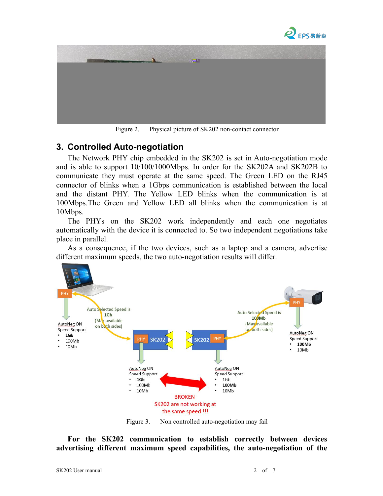



Figure 2. Physical picture of SK202 non-contact connector

### **3. Controlled Auto-negotiation**

The Network PHY chip embedded in the SK202 is set in Auto-negotiation mode and is able to support 10/100/1000Mbps. In order for the SK202A and SK202B to communicate they must operate at the same speed. The Green LED on the RJ45 connector of blinks when a 1Gbps communication is established between the local and the distant PHY. The Yellow LED blinks when the communication is at 100Mbps.The Green and Yellow LED all blinks when the communication is at 10Mbps.

The PHYs on the SK202 work independently and each one negotiates automatically with the device it is connected to. So two independent negotiations take place in parallel.

As a consequence, if the two devices, such as a laptop and a camera, advertise different maximum speeds, the two auto-negotiation results will differ.



Figure 3. Non controlled auto-negotiation may fail

**For the SK202 communication to establish correctly between devices advertising different maximum speed capabilities, the auto-negotiation of the**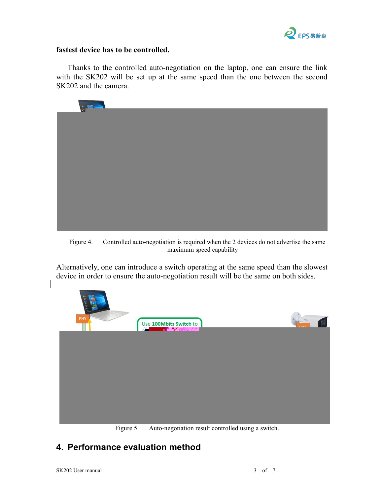

#### **fastest device has to be controlled.**

Thanks to the controlled auto-negotiation on the laptop, one can ensure the link with the SK202 will be set up at the same speed than the one between the second SK202 and the camera.



Figure 4. Controlled auto-negotiation is required when the 2 devices do not advertise the same maximum speed capability

Alternatively, one can introduce a switch operating at the same speed than the slowest device in order to ensure the auto-negotiation result will be the same on both sides.



Figure 5. Auto-negotiation result controlled using a switch.

## **4. Performance evaluation method**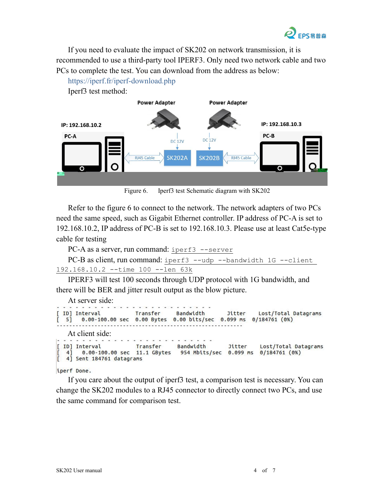

If you need to evaluate the impact of SK202 on network transmission, it is recommended to use a third-party tool IPERF3. Only need two network cable and two PCs to complete the test. You can download from the address as below:



Figure 6. Iperf3 test Schematic diagram with SK202

Refer to the figure 6 to connect to the network. The network adapters of two PCs need the same speed, such as Gigabit Ethernet controller. IP address of PC-A is set to 192.168.10.2, IP addressof PC-B is set to 192.168.10.3. Please use at least Cat5e-type cable for testing

PC-A as a server, run command: iperf3 --server

```
PC-B as client, run command: iperf3 --udp --bandwidth 1G --client
192.168.10.2 --time 100 --len 63k
```
IPERF3 will test 100 seconds through UDP protocol with 1G bandwidth, and there will be BER and jitter result output as the blow picture.

At server side:

```
. . . . . .
[ ID] Interval
                            Transfer
                                          Bandwidth
                                                                        Lost/Total Datagrams
                                                             Jitter
\begin{bmatrix} 5 \end{bmatrix}0.00-100.00 sec 0.00 Bytes 0.00 bits/sec 0.099 ms 0/184761 (0%)
  At client side:
```

```
[ ID] Interval
                                                   Jitter
                       Transfer
                                   Bandwidth
                                                             Lost/Total Datagrams
       0.00-100.00 sec 11.1 GBytes 954 Mbits/sec 0.099 ms 0/184761 (0%)
  41[ 4] Sent 184761 datagrams
```
iperf Done.

If you care about the output of iperf3 test, a comparison test is necessary. You can change the SK202 modules to a RJ45 connector to directly connect two PCs, and use the same command for comparison test.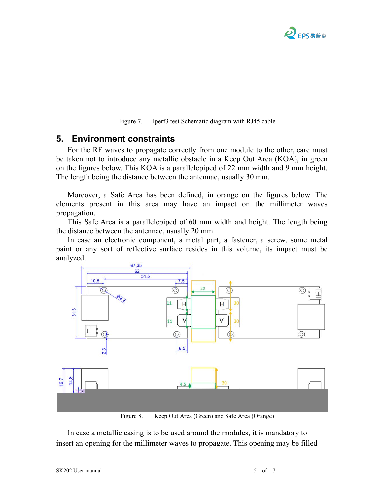

Figure 7. Iperf3 test Schematic diagram with RJ45 cable

#### **5. Environment constraints**

For the RF waves to propagate correctly from one module to the other, care must be taken not to introduce any metallic obstacle in a Keep Out Area (KOA), in green on the figures below. This KOA is a parallelepiped of 22 mm width and 9 mm height. The length being the distance between the antennae, usually 30 mm.

Moreover, a Safe Area has been defined, in orange on the figures below. The elements present in this area may have an impact on the millimeter waves propagation.

This Safe Area is a parallelepiped of 60 mm width and height. The length being the distance between the antennae, usually 20 mm.

In case an electronic component, a metal part, a fastener, a screw, some metal paint or any sort of reflective surface resides in this volume, its impact must be analyzed.



Figure 8. Keep Out Area (Green) and Safe Area (Orange)

In case a metallic casing is to be used around the modules, it is mandatory to insert an opening for the millimeter waves to propagate. This opening may be filled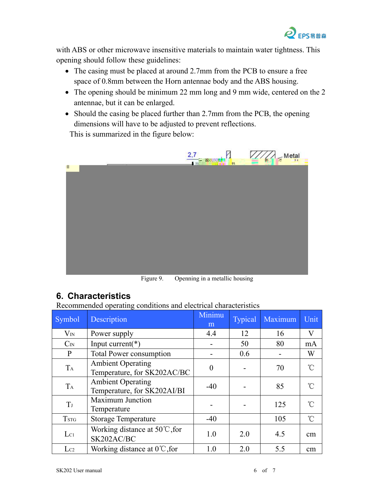

with ABS or other microwave insensitive materials to maintain water tightness. This opening should follow these guidelines:

- The casing must be placed at around 2.7mm from the PCB to ensure a free space of 0.8mm between the Horn antennae body and the ABS housing.
- The opening should be minimum 22 mm long and 9 mm wide, centered on the 2 antennae, but it can be enlarged.
- Should the casing be placed further than 2.7mm from the PCB, the opening dimensions will have to be adjusted to prevent reflections.

This is summarized in the figure below:



Figure 9. Openning in a metallic housing

### **6. Characteristics**

Recommended operating conditions and electrical characteristics

| $\circ$        |                                                         |                |         |                |                      |  |  |  |
|----------------|---------------------------------------------------------|----------------|---------|----------------|----------------------|--|--|--|
| Symbol         | Description                                             | Minimu<br>m    | Typical | Maximum        | Unit                 |  |  |  |
| $\rm V_{IN}$   | Power supply                                            | 4.4            | 12      | 16             | $\rm V$              |  |  |  |
| $C_{IN}$       | Input current( $*)$                                     |                | 50      | 80             | mA                   |  |  |  |
| $\mathbf{P}$   | Total Power consumption                                 |                | 0.6     | $\blacksquare$ | W                    |  |  |  |
| $T_A$          | <b>Ambient Operating</b><br>Temperature, for SK202AC/BC | $\overline{0}$ |         | 70             | $\mathrm{C}^{\circ}$ |  |  |  |
| $T_A$          | <b>Ambient Operating</b><br>Temperature, for SK202AI/BI | $-40$          |         | 85             | $\int_0^\infty$      |  |  |  |
| T <sub>J</sub> | <b>Maximum Junction</b><br>Temperature                  |                |         | 125            | $\int_{0}^{\infty}$  |  |  |  |
| <b>TSTG</b>    | <b>Storage Temperature</b>                              | $-40$          |         | 105            | $\mathrm{C}$         |  |  |  |
| $L_{C1}$       | Working distance at $50^{\circ}$ C, for<br>SK202AC/BC   | 1.0            | 2.0     | 4.5            | cm                   |  |  |  |
| $L_{C2}$       | Working distance at $0^{\circ}$ C, for                  | 1.0            | 2.0     | 5.5            | cm                   |  |  |  |